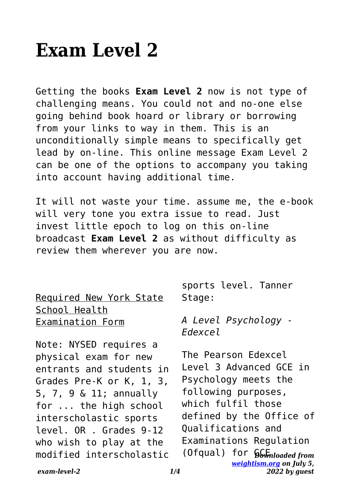# **Exam Level 2**

Getting the books **Exam Level 2** now is not type of challenging means. You could not and no-one else going behind book hoard or library or borrowing from your links to way in them. This is an unconditionally simple means to specifically get lead by on-line. This online message Exam Level 2 can be one of the options to accompany you taking into account having additional time.

It will not waste your time. assume me, the e-book will very tone you extra issue to read. Just invest little epoch to log on this on-line broadcast **Exam Level 2** as without difficulty as review them wherever you are now.

Required New York State School Health Examination Form

Note: NYSED requires a physical exam for new entrants and students in Grades Pre-K or K, 1, 3, 5, 7, 9 & 11; annually for ... the high school interscholastic sports level. OR . Grades 9-12 who wish to play at the modified interscholastic sports level. Tanner Stage:

*A Level Psychology - Edexcel*

(Ofqual) for **b**ownloaded from *[weightism.org](https://weightism.org) on July 5, 2022 by guest* The Pearson Edexcel Level 3 Advanced GCE in Psychology meets the following purposes, which fulfil those defined by the Office of Qualifications and Examinations Regulation

*exam-level-2 1/4*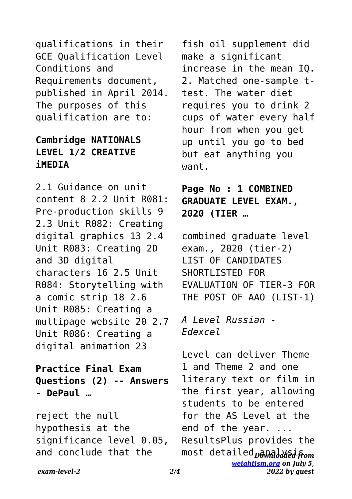qualifications in their GCE Qualification Level Conditions and Requirements document, published in April 2014. The purposes of this qualification are to:

## **Cambridge NATIONALS LEVEL 1/2 CREATIVE iMEDIA**

2.1 Guidance on unit content 8 2.2 Unit R081: Pre-production skills 9 2.3 Unit R082: Creating digital graphics 13 2.4 Unit R083: Creating 2D and 3D digital characters 16 2.5 Unit R084: Storytelling with a comic strip 18 2.6 Unit R085: Creating a multipage website 20 2.7 Unit R086: Creating a digital animation 23

## **Practice Final Exam Questions (2) -- Answers - DePaul …**

reject the null hypothesis at the significance level 0.05, and conclude that the

fish oil supplement did make a significant increase in the mean IQ. 2. Matched one-sample ttest. The water diet requires you to drink 2 cups of water every half hour from when you get up until you go to bed but eat anything you want.

## **Page No : 1 COMBINED GRADUATE LEVEL EXAM., 2020 (TIER …**

combined graduate level exam., 2020 (tier-2) LIST OF CANDIDATES SHORTL ISTED FOR EVALUATION OF TIER-3 FOR THE POST OF AAO (LIST-1)

*A Level Russian - Edexcel*

most detailed*pa*na*d af from [weightism.org](https://weightism.org) on July 5, 2022 by guest* Level can deliver Theme 1 and Theme 2 and one literary text or film in the first year, allowing students to be entered for the AS Level at the end of the year. ... ResultsPlus provides the

*exam-level-2 2/4*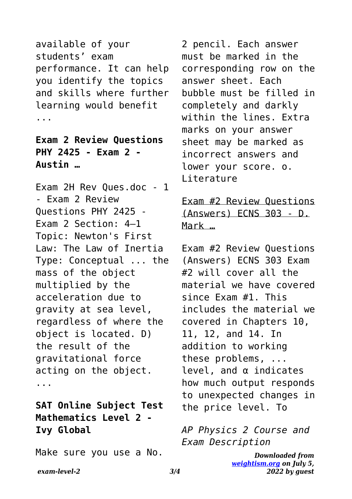*exam-level-2 3/4*

available of your students' exam performance. It can help you identify the topics and skills where further learning would benefit ...

## **Exam 2 Review Questions PHY 2425 - Exam 2 - Austin …**

Exam 2H Rev Oues.doc - 1 - Exam 2 Review Questions PHY 2425 - Exam 2 Section: 4–1 Topic: Newton's First Law: The Law of Inertia Type: Conceptual ... the mass of the object multiplied by the acceleration due to gravity at sea level, regardless of where the object is located. D) the result of the gravitational force acting on the object. ...

**SAT Online Subject Test Mathematics Level 2 - Ivy Global**

Make sure you use a No.

2 pencil. Each answer must be marked in the corresponding row on the answer sheet. Each bubble must be filled in completely and darkly within the lines. Extra marks on your answer sheet may be marked as incorrect answers and lower your score. o. Literature

Exam #2 Review Questions (Answers) ECNS 303 - D. Mark …

Exam #2 Review Questions (Answers) ECNS 303 Exam #2 will cover all the material we have covered since Exam #1. This includes the material we covered in Chapters 10, 11, 12, and 14. In addition to working these problems, ... level, and α indicates how much output responds to unexpected changes in the price level. To

*AP Physics 2 Course and Exam Description*

> *Downloaded from [weightism.org](https://weightism.org) on July 5, 2022 by guest*